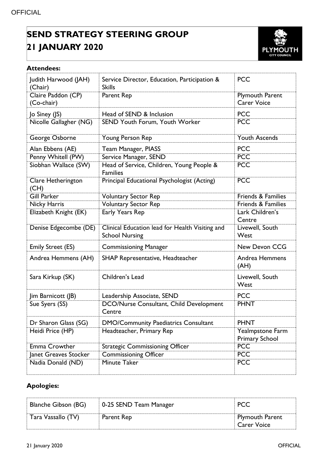## **SEND STRATEGY STEERING GROUP 21 JANUARY 2020**



## **Attendees:**

| Judith Harwood (JAH)<br>(Chair)  | Service Director, Education, Participation &<br><b>Skills</b>            | <b>PCC</b>                                   |
|----------------------------------|--------------------------------------------------------------------------|----------------------------------------------|
| Claire Paddon (CP)<br>(Co-chair) | Parent Rep                                                               | <b>Plymouth Parent</b><br><b>Carer Voice</b> |
| Jo Siney (JS)                    | Head of SEND & Inclusion                                                 | <b>PCC</b>                                   |
| Nicolle Gallagher (NG)           | SEND Youth Forum, Youth Worker                                           | <b>PCC</b>                                   |
| George Osborne                   | Young Person Rep                                                         | <b>Youth Ascends</b>                         |
| Alan Ebbens (AE)                 | Team Manager, PIASS                                                      | <b>PCC</b>                                   |
| Penny Whitell (PW)               | Service Manager, SEND                                                    | <b>PCC</b>                                   |
| Siobhan Wallace (SW)             | Head of Service, Children, Young People &<br><b>Families</b>             | <b>PCC</b>                                   |
| Clare Hetherington<br>(CH)       | Principal Educational Psychologist (Acting)                              | <b>PCC</b>                                   |
| <b>Gill Parker</b>               | <b>Voluntary Sector Rep</b>                                              | <b>Friends &amp; Families</b>                |
| Nicky Harris                     | <b>Voluntary Sector Rep</b>                                              | Friends & Families                           |
| Elizabeth Knight (EK)            | <b>Early Years Rep</b>                                                   | Lark Children's<br>Centre                    |
| Denise Edgecombe (DE)            | Clinical Education lead for Health Visiting and<br><b>School Nursing</b> | Livewell, South<br>West                      |
| <b>Emily Street (ES)</b>         | <b>Commissioning Manager</b>                                             | New Devon CCG                                |
| Andrea Hemmens (AH)              | SHAP Representative, Headteacher                                         | <b>Andrea Hemmens</b><br>(AH)                |
| Sara Kirkup (SK)                 | Children's Lead                                                          | Livewell, South<br>West                      |
| Jim Barnicott (JB)               | Leadership Associate, SEND                                               | <b>PCC</b>                                   |
| Sue Syers (SS)                   | <b>DCO/Nurse Consultant, Child Development</b><br>Centre                 | <b>PHNT</b>                                  |
| Dr Sharon Glass (SG)             | <b>DMO/Community Paediatrics Consultant</b>                              | <b>PHNT</b>                                  |
| Heidi Price (HP)                 | Headteacher, Primary Rep                                                 | Yealmpstone Farm<br><b>Primary School</b>    |
| Emma Crowther                    | <b>Strategic Commissioning Officer</b>                                   | <b>PCC</b>                                   |
| Janet Greaves Stocker            | <b>Commissioning Officer</b>                                             | <b>PCC</b>                                   |
| Nadia Donald (ND)                | Minute Taker                                                             | <b>PCC</b>                                   |

## **Apologies:**

| <b>Blanche Gibson (BG)</b> | 0-25 SEND Team Manager | <b>PCC</b>                            |
|----------------------------|------------------------|---------------------------------------|
| Tara Vassallo (TV)         | Parent Rep             | <b>Plymouth Parent</b><br>Carer Voice |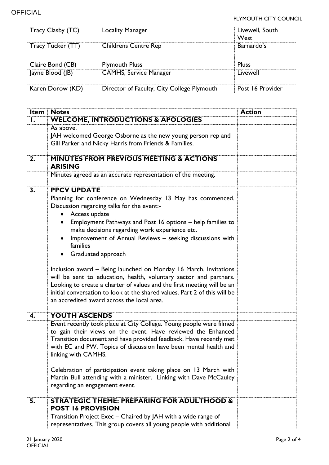| Tracy Clasby (TC) | <b>Locality Manager</b>                    | Livewell, South<br>West |
|-------------------|--------------------------------------------|-------------------------|
| Tracy Tucker (TT) | <b>Childrens Centre Rep</b>                | Barnardo's              |
| Claire Bond (CB)  | <b>Plymouth Pluss</b>                      | <b>Pluss</b>            |
| Jayne Blood (JB)  | <b>CAMHS, Service Manager</b>              | Livewell                |
| Karen Dorow (KD)  | Director of Faculty, City College Plymouth | Post 16 Provider        |

| Item | <b>Notes</b>                                                                                                                                                                                                                                                                                                                                                                                                                                                                                                                                                                                                                                                                                      | <b>Action</b> |
|------|---------------------------------------------------------------------------------------------------------------------------------------------------------------------------------------------------------------------------------------------------------------------------------------------------------------------------------------------------------------------------------------------------------------------------------------------------------------------------------------------------------------------------------------------------------------------------------------------------------------------------------------------------------------------------------------------------|---------------|
| Ι.   | <b>WELCOME, INTRODUCTIONS &amp; APOLOGIES</b>                                                                                                                                                                                                                                                                                                                                                                                                                                                                                                                                                                                                                                                     |               |
|      | As above.<br>JAH welcomed George Osborne as the new young person rep and<br>Gill Parker and Nicky Harris from Friends & Families.                                                                                                                                                                                                                                                                                                                                                                                                                                                                                                                                                                 |               |
| 2.   | <b>MINUTES FROM PREVIOUS MEETING &amp; ACTIONS</b><br><b>ARISING</b>                                                                                                                                                                                                                                                                                                                                                                                                                                                                                                                                                                                                                              |               |
|      | Minutes agreed as an accurate representation of the meeting.                                                                                                                                                                                                                                                                                                                                                                                                                                                                                                                                                                                                                                      |               |
| 3.   | <b>PPCV UPDATE</b>                                                                                                                                                                                                                                                                                                                                                                                                                                                                                                                                                                                                                                                                                |               |
|      | Planning for conference on Wednesday 13 May has commenced.<br>Discussion regarding talks for the event:-<br>Access update<br>Employment Pathways and Post 16 options - help families to<br>$\bullet$<br>make decisions regarding work experience etc.<br>Improvement of Annual Reviews - seeking discussions with<br>families<br>Graduated approach<br>Inclusion award – Being launched on Monday 16 March. Invitations<br>will be sent to education, health, voluntary sector and partners.<br>Looking to create a charter of values and the first meeting will be an<br>initial conversation to look at the shared values. Part 2 of this will be<br>an accredited award across the local area. |               |
| 4.   | YOUTH ASCENDS                                                                                                                                                                                                                                                                                                                                                                                                                                                                                                                                                                                                                                                                                     |               |
|      | Event recently took place at City College. Young people were filmed<br>to gain their views on the event. Have reviewed the Enhanced<br>Transition document and have provided feedback. Have recently met<br>with EC and PW. Topics of discussion have been mental health and<br>linking with CAMHS.<br>Celebration of participation event taking place on 13 March with<br>Martin Bull attending with a minister. Linking with Dave McCauley<br>regarding an engagement event.                                                                                                                                                                                                                    |               |
| 5.   | <b>STRATEGIC THEME: PREPARING FOR ADULTHOOD &amp;</b>                                                                                                                                                                                                                                                                                                                                                                                                                                                                                                                                                                                                                                             |               |
|      | <b>POST 16 PROVISION</b>                                                                                                                                                                                                                                                                                                                                                                                                                                                                                                                                                                                                                                                                          |               |
|      | Transition Project Exec - Chaired by JAH with a wide range of<br>representatives. This group covers all young people with additional                                                                                                                                                                                                                                                                                                                                                                                                                                                                                                                                                              |               |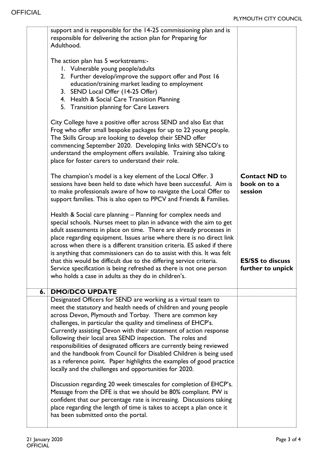|    | support and is responsible for the 14-25 commissioning plan and is<br>responsible for delivering the action plan for Preparing for<br>Adulthood.<br>The action plan has 5 workstreams:-<br>1. Vulnerable young people/adults<br>2. Further develop/improve the support offer and Post 16<br>education/training market leading to employment<br>3. SEND Local Offer (14-25 Offer)<br>4. Health & Social Care Transition Planning<br>5. Transition planning for Care Leavers<br>City College have a positive offer across SEND and also Eat that<br>Frog who offer small bespoke packages for up to 22 young people.<br>The Skills Group are looking to develop their SEND offer<br>commencing September 2020. Developing links with SENCO's to |                                                 |
|----|-----------------------------------------------------------------------------------------------------------------------------------------------------------------------------------------------------------------------------------------------------------------------------------------------------------------------------------------------------------------------------------------------------------------------------------------------------------------------------------------------------------------------------------------------------------------------------------------------------------------------------------------------------------------------------------------------------------------------------------------------|-------------------------------------------------|
|    | understand the employment offers available. Training also taking<br>place for foster carers to understand their role.                                                                                                                                                                                                                                                                                                                                                                                                                                                                                                                                                                                                                         |                                                 |
|    | The champion's model is a key element of the Local Offer. 3<br>sessions have been held to date which have been successful. Aim is<br>to make professionals aware of how to navigate the Local Offer to<br>support families. This is also open to PPCV and Friends & Families.                                                                                                                                                                                                                                                                                                                                                                                                                                                                 | <b>Contact ND to</b><br>book on to a<br>session |
|    | Health & Social care planning - Planning for complex needs and<br>special schools. Nurses meet to plan in advance with the aim to get<br>adult assessments in place on time. There are already processes in<br>place regarding equipment. Issues arise where there is no direct link<br>across when there is a different transition criteria. ES asked if there<br>is anything that commissioners can do to assist with this. It was felt<br>that this would be difficult due to the differing service criteria.<br>Service specification is being refreshed as there is not one person<br>who holds a case in adults as they do in children's.                                                                                               | <b>ES/SS to discuss</b><br>further to unpick    |
| 6. | <b>DMO/DCO UPDATE</b><br>Designated Officers for SEND are working as a virtual team to                                                                                                                                                                                                                                                                                                                                                                                                                                                                                                                                                                                                                                                        |                                                 |
|    | meet the statutory and health needs of children and young people<br>across Devon, Plymouth and Torbay. There are common key<br>challenges, in particular the quality and timeliness of EHCP's.<br>Currently assisting Devon with their statement of action response<br>following their local area SEND inspection. The roles and<br>responsibilities of designated officers are currently being reviewed<br>and the handbook from Council for Disabled Children is being used<br>as a reference point. Paper highlights the examples of good practice<br>locally and the challenges and opportunities for 2020.                                                                                                                               |                                                 |
|    | Discussion regarding 20 week timescales for completion of EHCP's.<br>Message from the DFE is that we should be 80% compliant. PW is<br>confident that our percentage rate is increasing. Discussions taking<br>place regarding the length of time is takes to accept a plan once it<br>has been submitted onto the portal.                                                                                                                                                                                                                                                                                                                                                                                                                    |                                                 |